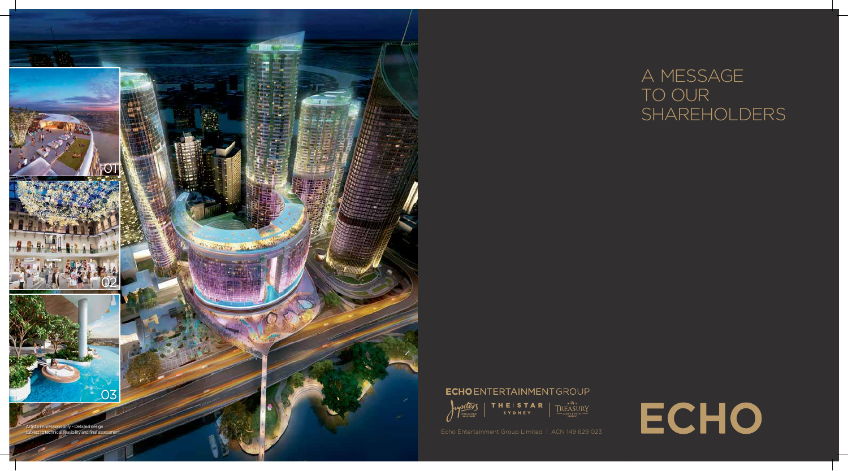# A MESSAGE TO OUR SHAREHOLDERS





**ECHOENTERTAINMENTGROUP**